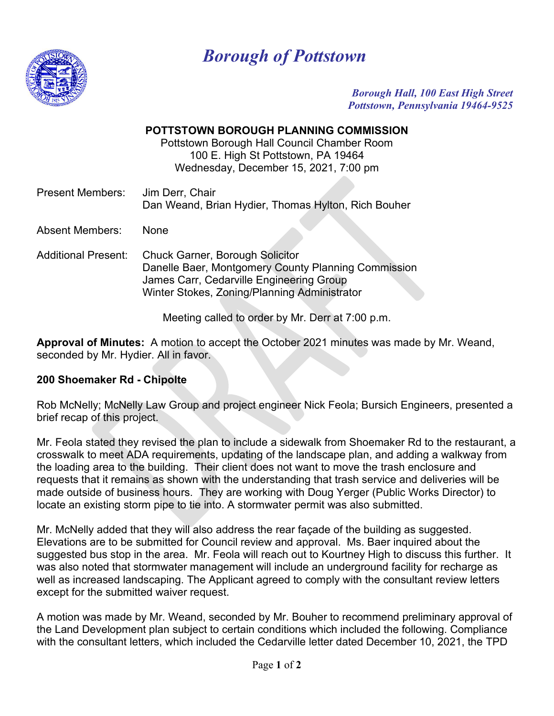

## *Borough of Pottstown*

*Borough Hall, 100 East High Street Pottstown, Pennsylvania 19464-9525*

## **POTTSTOWN BOROUGH PLANNING COMMISSION**

Pottstown Borough Hall Council Chamber Room 100 E. High St Pottstown, PA 19464 Wednesday, December 15, 2021, 7:00 pm

| <b>Present Members:</b> | Jim Derr, Chair                                     |
|-------------------------|-----------------------------------------------------|
|                         | Dan Weand, Brian Hydier, Thomas Hylton, Rich Bouher |

Absent Members: None

Additional Present: Chuck Garner, Borough Solicitor Danelle Baer, Montgomery County Planning Commission James Carr, Cedarville Engineering Group Winter Stokes, Zoning/Planning Administrator

Meeting called to order by Mr. Derr at 7:00 p.m.

**Approval of Minutes:** A motion to accept the October 2021 minutes was made by Mr. Weand, seconded by Mr. Hydier. All in favor.

## **200 Shoemaker Rd - Chipolte**

Rob McNelly; McNelly Law Group and project engineer Nick Feola; Bursich Engineers, presented a brief recap of this project.

Mr. Feola stated they revised the plan to include a sidewalk from Shoemaker Rd to the restaurant, a crosswalk to meet ADA requirements, updating of the landscape plan, and adding a walkway from the loading area to the building. Their client does not want to move the trash enclosure and requests that it remains as shown with the understanding that trash service and deliveries will be made outside of business hours. They are working with Doug Yerger (Public Works Director) to locate an existing storm pipe to tie into. A stormwater permit was also submitted.

Mr. McNelly added that they will also address the rear façade of the building as suggested. Elevations are to be submitted for Council review and approval. Ms. Baer inquired about the suggested bus stop in the area. Mr. Feola will reach out to Kourtney High to discuss this further. It was also noted that stormwater management will include an underground facility for recharge as well as increased landscaping. The Applicant agreed to comply with the consultant review letters except for the submitted waiver request.

A motion was made by Mr. Weand, seconded by Mr. Bouher to recommend preliminary approval of the Land Development plan subject to certain conditions which included the following. Compliance with the consultant letters, which included the Cedarville letter dated December 10, 2021, the TPD